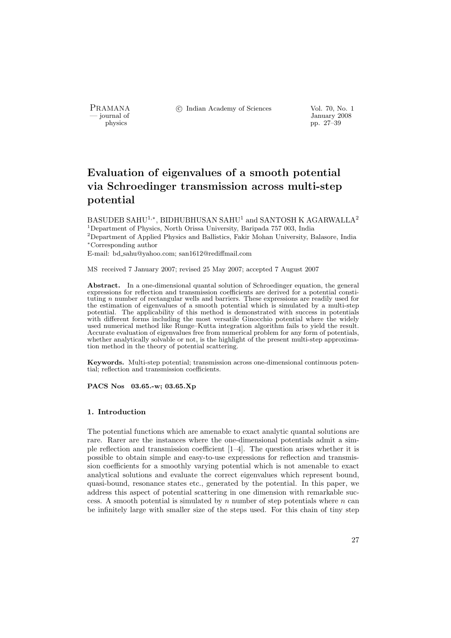PRAMANA <sup>©</sup>© Indian Academy of Sciences Vol. 70, No. 1<br>
— journal of Lanuary 2008

physics and the set of the set of the set of the set of the set of the set of the set of the set of the set of the set of the set of the set of the set of the set of the set of the set of the set of the set of the set of t physics pp. 27–39

# Evaluation of eigenvalues of a smooth potential via Schroedinger transmission across multi-step potential

BASUDEB SAHU<sup>1,∗</sup>, BIDHUBHUSAN SAHU<sup>1</sup> and SANTOSH K AGARWALLA<sup>2</sup> <sup>1</sup>Department of Physics, North Orissa University, Baripada 757 003, India <sup>2</sup>Department of Applied Physics and Ballistics, Fakir Mohan University, Balasore, India <sup>∗</sup>Corresponding author

E-mail: bd sahu@yahoo.com; san1612@rediffmail.com

MS received 7 January 2007; revised 25 May 2007; accepted 7 August 2007

Abstract. In a one-dimensional quantal solution of Schroedinger equation, the general expressions for reflection and transmission coefficients are derived for a potential constituting n number of rectangular wells and barriers. These expressions are readily used for the estimation of eigenvalues of a smooth potential which is simulated by a multi-step potential. The applicability of this method is demonstrated with success in potentials with different forms including the most versatile Ginocchio potential where the widely used numerical method like Runge–Kutta integration algorithm fails to yield the result. Accurate evaluation of eigenvalues free from numerical problem for any form of potentials, whether analytically solvable or not, is the highlight of the present multi-step approximation method in the theory of potential scattering.

Keywords. Multi-step potential; transmission across one-dimensional continuous potential; reflection and transmission coefficients.

PACS Nos 03.65.-w; 03.65.Xp

#### 1. Introduction

The potential functions which are amenable to exact analytic quantal solutions are rare. Rarer are the instances where the one-dimensional potentials admit a simple reflection and transmission coefficient [1–4]. The question arises whether it is possible to obtain simple and easy-to-use expressions for reflection and transmission coefficients for a smoothly varying potential which is not amenable to exact analytical solutions and evaluate the correct eigenvalues which represent bound, quasi-bound, resonance states etc., generated by the potential. In this paper, we address this aspect of potential scattering in one dimension with remarkable success. A smooth potential is simulated by  $n$  number of step potentials where  $n$  can be infinitely large with smaller size of the steps used. For this chain of tiny step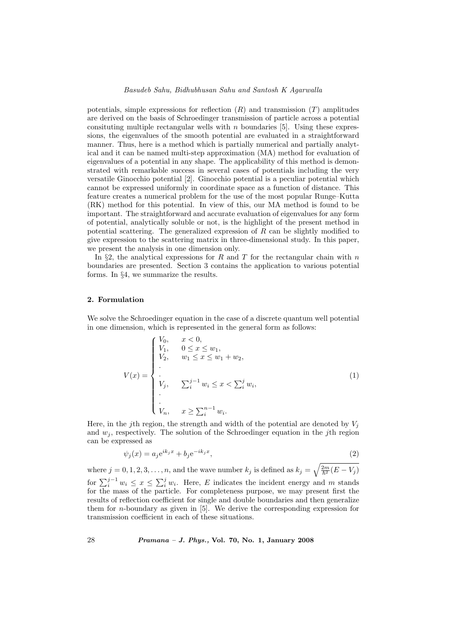#### Basudeb Sahu, Bidhubhusan Sahu and Santosh K Agarwalla

potentials, simple expressions for reflection  $(R)$  and transmission  $(T)$  amplitudes are derived on the basis of Schroedinger transmission of particle across a potential consituting multiple rectangular wells with  $n$  boundaries [5]. Using these expressions, the eigenvalues of the smooth potential are evaluated in a straightforward manner. Thus, here is a method which is partially numerical and partially analytical and it can be named multi-step approximation (MA) method for evaluation of eigenvalues of a potential in any shape. The applicability of this method is demonstrated with remarkable success in several cases of potentials including the very versatile Ginocchio potential [2]. Ginocchio potential is a peculiar potential which cannot be expressed uniformly in coordinate space as a function of distance. This feature creates a numerical problem for the use of the most popular Runge–Kutta (RK) method for this potential. In view of this, our MA method is found to be important. The straightforward and accurate evaluation of eigenvalues for any form of potential, analytically soluble or not, is the highlight of the present method in potential scattering. The generalized expression of R can be slightly modified to give expression to the scattering matrix in three-dimensional study. In this paper, we present the analysis in one dimension only.

In §2, the analytical expressions for R and T for the rectangular chain with n boundaries are presented. Section 3 contains the application to various potential forms. In §4, we summarize the results.

## 2. Formulation

We solve the Schroedinger equation in the case of a discrete quantum well potential in one dimension, which is represented in the general form as follows:

$$
V(x) = \begin{cases} V_0, & x < 0, \\ V_1, & 0 \le x \le w_1, \\ V_2, & w_1 \le x \le w_1 + w_2, \\ \vdots \\ V_j, & \sum_{i=1}^{j-1} w_i \le x < \sum_{i=1}^{j} w_i, \\ \vdots \\ V_n, & x \ge \sum_{i=1}^{n-1} w_i. \end{cases} \tag{1}
$$

Here, in the j<sup>th</sup> region, the strength and width of the potential are denoted by  $V_i$ and  $w_i$ , respectively. The solution of the Schroedinger equation in the *j*th region can be expressed as

$$
\psi_j(x) = a_j e^{ik_j x} + b_j e^{-ik_j x},\tag{2}
$$

where  $j = 0, 1, 2, 3, \ldots, n$ , and the wave number  $k_j$  is defined as  $k_j =$  $\sqrt{\frac{2m}{\hbar^2}(E-V_j)}$ for  $\sum_{i=1}^{j-1} w_i \leq x \leq \sum_{i=1}^{j} w_i$ . Here, E indicates the incident energy and m stands  $\overline{\nabla}j$ for the mass of the particle. For completeness purpose, we may present first the results of reflection coefficient for single and double boundaries and then generalize them for n-boundary as given in [5]. We derive the corresponding expression for transmission coefficient in each of these situations.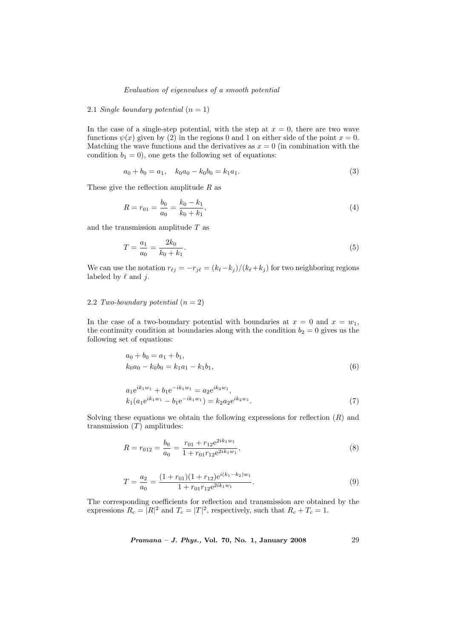## 2.1 Single boundary potential  $(n = 1)$

In the case of a single-step potential, with the step at  $x = 0$ , there are two wave functions  $\psi(x)$  given by (2) in the regions 0 and 1 on either side of the point  $x = 0$ . Matching the wave functions and the derivatives as  $x = 0$  (in combination with the condition  $b_1 = 0$ , one gets the following set of equations:

$$
a_0 + b_0 = a_1, \quad k_0 a_0 - k_0 b_0 = k_1 a_1. \tag{3}
$$

These give the reflection amplitude  $R$  as

$$
R = r_{01} = \frac{b_0}{a_0} = \frac{k_0 - k_1}{k_0 + k_1},\tag{4}
$$

and the transmission amplitude  $T$  as

$$
T = \frac{a_1}{a_0} = \frac{2k_0}{k_0 + k_1}.\tag{5}
$$

We can use the notation  $r_{\ell j} = -r_{j\ell} = (k_{\ell}-k_{j})/(k_{\ell}+k_{j})$  for two neighboring regions labeled by  $\ell$  and j.

# 2.2 Two-boundary potential  $(n = 2)$

In the case of a two-boundary potential with boundaries at  $x = 0$  and  $x = w_1$ , the continuity condition at boundaries along with the condition  $b_2 = 0$  gives us the following set of equations:

$$
a_0 + b_0 = a_1 + b_1,
$$
  
\n
$$
k_0 a_0 - k_0 b_0 = k_1 a_1 - k_1 b_1,
$$
\n(6)

$$
a_1 e^{ik_1 w_1} + b_1 e^{-ik_1 w_1} = a_2 e^{ik_2 w_1},
$$
  
\n
$$
k_1 (a_1 e^{ik_1 w_1} - b_1 e^{-ik_1 w_1}) = k_2 a_2 e^{ik_2 w_1}.
$$
\n(7)

Solving these equations we obtain the following expressions for reflection  $(R)$  and transmission  $(T)$  amplitudes:

$$
R = r_{012} = \frac{b_0}{a_0} = \frac{r_{01} + r_{12}e^{2ik_1w_1}}{1 + r_{01}r_{12}e^{2ik_1w_1}},
$$
\n(8)

$$
T = \frac{a_2}{a_0} = \frac{(1 + r_{01})(1 + r_{12})e^{i(k_1 - k_2)w_1}}{1 + r_{01}r_{12}e^{2ik_1w_1}}.
$$
\n(9)

The corresponding coefficients for reflection and transmission are obtained by the expressions  $R_c = |R|^2$  and  $T_c = |T|^2$ , respectively, such that  $R_c + T_c = 1$ .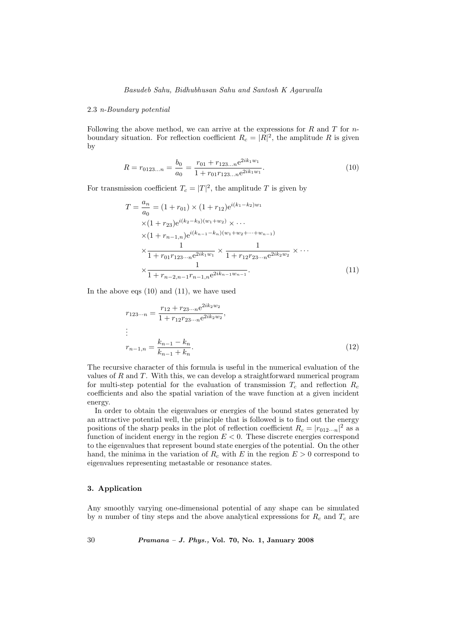## 2.3 n-Boundary potential

Following the above method, we can arrive at the expressions for  $R$  and  $T$  for  $n$ boundary situation. For reflection coefficient  $R_c = |R|^2$ , the amplitude R is given by

$$
R = r_{0123...n} = \frac{b_0}{a_0} = \frac{r_{01} + r_{123...n}e^{2ik_1w_1}}{1 + r_{01}r_{123...n}e^{2ik_1w_1}}.
$$
\n(10)

For transmission coefficient  $T_c = |T|^2$ , the amplitude T is given by

$$
T = \frac{a_n}{a_0} = (1 + r_{01}) \times (1 + r_{12})e^{i(k_1 - k_2)w_1}
$$
  
×(1 + r\_{23})e<sup>i(k\_2 - k\_3)(w\_1 + w\_2)</sup> × ...  
×(1 + r\_{n-1,n})e<sup>i(k\_{n-1} - k\_n)(w\_1 + w\_2 + \dots + w\_{n-1})  
×
$$
\frac{1}{1 + r_{01}r_{123\cdots n}e^{2ik_1w_1}} \times \frac{1}{1 + r_{12}r_{23\cdots n}e^{2ik_2w_2}} \times \cdots
$$
  
×
$$
\frac{1}{1 + r_{n-2,n-1}r_{n-1,n}e^{2ik_{n-1}w_{n-1}}}.
$$
 (11)</sup>

In the above eqs (10) and (11), we have used

$$
r_{123\cdots n} = \frac{r_{12} + r_{23\cdots n}e^{2ik_2w_2}}{1 + r_{12}r_{23\cdots n}e^{2ik_2w_2}},
$$
  
\n:  
\n:  
\n
$$
r_{n-1,n} = \frac{k_{n-1} - k_n}{k_{n-1} + k_n}.
$$
\n(12)

The recursive character of this formula is useful in the numerical evaluation of the values of  $R$  and  $T$ . With this, we can develop a straightforward numerical program for multi-step potential for the evaluation of transmission  $T_c$  and reflection  $R_c$ coefficients and also the spatial variation of the wave function at a given incident energy.

In order to obtain the eigenvalues or energies of the bound states generated by an attractive potential well, the principle that is followed is to find out the energy positions of the sharp peaks in the plot of reflection coefficient  $R_c = |r_{012\cdots n}|^2$  as a function of incident energy in the region  $E < 0$ . These discrete energies correspond to the eigenvalues that represent bound state energies of the potential. On the other hand, the minima in the variation of  $R_c$  with E in the region  $E > 0$  correspond to eigenvalues representing metastable or resonance states.

## 3. Application

Any smoothly varying one-dimensional potential of any shape can be simulated by n number of tiny steps and the above analytical expressions for  $R_c$  and  $T_c$  are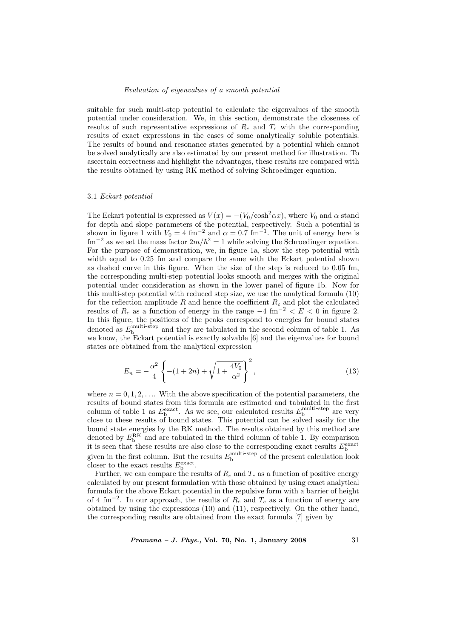suitable for such multi-step potential to calculate the eigenvalues of the smooth potential under consideration. We, in this section, demonstrate the closeness of results of such representative expressions of  $R_c$  and  $T_c$  with the corresponding results of exact expressions in the cases of some analytically soluble potentials. The results of bound and resonance states generated by a potential which cannot be solved analytically are also estimated by our present method for illustration. To ascertain correctness and highlight the advantages, these results are compared with the results obtained by using RK method of solving Schroedinger equation.

#### 3.1 Eckart potential

The Eckart potential is expressed as  $V(x) = -(V_0/\cosh^2 \alpha x)$ , where  $V_0$  and  $\alpha$  stand for depth and slope parameters of the potential, respectively. Such a potential is shown in figure 1 with  $V_0 = 4 \text{ fm}^{-2}$  and  $\alpha = 0.7 \text{ fm}^{-1}$ . The unit of energy here is  $\text{fm}^{-2}$  as we set the mass factor  $2m/\hbar^2 = 1$  while solving the Schroedinger equation. For the purpose of demonstration, we, in figure 1a, show the step potential with width equal to 0.25 fm and compare the same with the Eckart potential shown as dashed curve in this figure. When the size of the step is reduced to 0.05 fm, the corresponding multi-step potential looks smooth and merges with the original potential under consideration as shown in the lower panel of figure 1b. Now for this multi-step potential with reduced step size, we use the analytical formula (10) for the reflection amplitude  $R$  and hence the coefficient  $R_c$  and plot the calculated results of  $R_c$  as a function of energy in the range  $-4 \text{ fm}^{-2} < E < 0$  in figure 2. In this figure, the positions of the peaks correspond to energies for bound states denoted as  $E_{\rm b}^{\rm multistep}$  and they are tabulated in the second column of table 1. As we know, the Eckart potential is exactly solvable [6] and the eigenvalues for bound states are obtained from the analytical expression

$$
E_n = -\frac{\alpha^2}{4} \left\{ -(1+2n) + \sqrt{1 + \frac{4V_0}{\alpha^2}} \right\}^2,
$$
\n(13)

where  $n = 0, 1, 2, \ldots$  With the above specification of the potential parameters, the results of bound states from this formula are estimated and tabulated in the first column of table 1 as  $E_{\rm b}^{\rm exact}$ . As we see, our calculated results  $E_{\rm b}^{\rm multi-step}$  are very close to these results of bound states. This potential can be solved easily for the bound state energies by the RK method. The results obtained by this method are denoted by  $E_b^{\text{RK}}$  and are tabulated in the third column of table 1. By comparison it is seen that these results are also close to the corresponding exact results  $E_{\rm b}^{\rm exact}$ given in the first column. But the results  $E_{\rm b}^{\rm multi-step}$  of the present calculation look closer to the exact results  $E<sub>b</sub><sup>exact</sup>$ .

Further, we can compare the results of  $R_c$  and  $T_c$  as a function of positive energy calculated by our present formulation with those obtained by using exact analytical formula for the above Eckart potential in the repulsive form with a barrier of height of 4 fm<sup>-2</sup>. In our approach, the results of  $R_c$  and  $T_c$  as a function of energy are obtained by using the expressions (10) and (11), respectively. On the other hand, the corresponding results are obtained from the exact formula [7] given by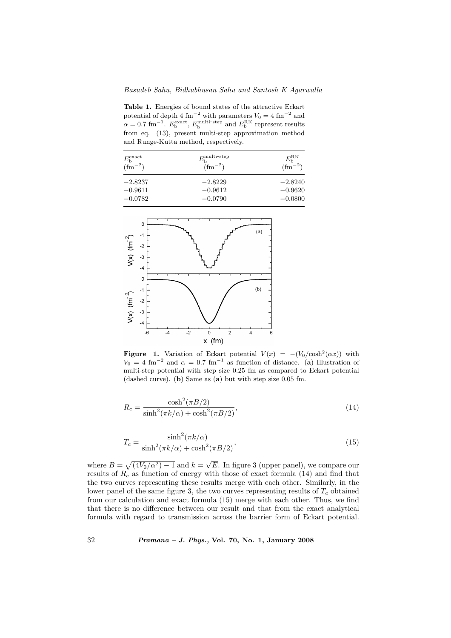Table 1. Energies of bound states of the attractive Eckart potential of depth 4 fm<sup>-2</sup> with parameters  $V_0 = 4$  fm<sup>-2</sup> and  $\alpha = 0.7$  fm<sup>-1</sup>.  $E_{\rm b}^{\rm exact}$ ,  $E_{\rm b}^{\rm multi-step}$  and  $E_{\rm b}^{\rm RK}$  represent results from eq. (13), present multi-step approximation method and Runge-Kutta method, respectively.

| $E_{\rm b}^{\rm exact}$<br>$\left( \text{fm}^{-2} \right)$ | $E_{\rm b}^{\rm multi-step}$<br>$\rm (fm^{-2})$ | $E_{\rm b}^{\rm RK}$<br>$\rm (fm^{-2})$ |
|------------------------------------------------------------|-------------------------------------------------|-----------------------------------------|
| $-2.8237$                                                  | $-2.8229$                                       | $-2.8240$                               |
| $-0.9611$                                                  | $-0.9612$                                       | $-0.9620$                               |
| $-0.0782$                                                  | $-0.0790$                                       | $-0.0800$                               |



**Figure 1.** Variation of Eckart potential  $V(x) = -(V_0/\cosh^2(\alpha x))$  with  $V_0 = 4$  fm<sup>-2</sup> and  $\alpha = 0.7$  fm<sup>-1</sup> as function of distance. (a) Illustration of multi-step potential with step size 0.25 fm as compared to Eckart potential (dashed curve). (b) Same as (a) but with step size 0.05 fm.

$$
R_c = \frac{\cosh^2(\pi B/2)}{\sinh^2(\pi k/\alpha) + \cosh^2(\pi B/2)},\tag{14}
$$

$$
T_c = \frac{\sinh^2(\pi k/\alpha)}{\sinh^2(\pi k/\alpha) + \cosh^2(\pi B/2)},\tag{15}
$$

where  $B =$ p  $\sqrt{(4V_0/\alpha^2) - 1}$  and  $k = \sqrt{ }$ E. In figure 3 (upper panel), we compare our results of  $R_c$  as function of energy with those of exact formula (14) and find that the two curves representing these results merge with each other. Similarly, in the lower panel of the same figure 3, the two curves representing results of  $T_c$  obtained from our calculation and exact formula (15) merge with each other. Thus, we find that there is no difference between our result and that from the exact analytical formula with regard to transmission across the barrier form of Eckart potential.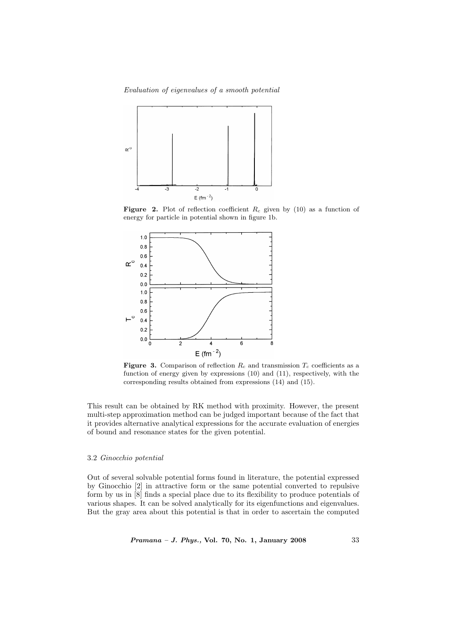Evaluation of eigenvalues of a smooth potential



**Figure 2.** Plot of reflection coefficient  $R_c$  given by (10) as a function of energy for particle in potential shown in figure 1b.



Figure 3. Comparison of reflection  $R_c$  and transmission  $T_c$  coefficients as a function of energy given by expressions (10) and (11), respectively, with the corresponding results obtained from expressions (14) and (15).

This result can be obtained by RK method with proximity. However, the present multi-step approximation method can be judged important because of the fact that it provides alternative analytical expressions for the accurate evaluation of energies of bound and resonance states for the given potential.

#### 3.2 Ginocchio potential

Out of several solvable potential forms found in literature, the potential expressed by Ginocchio [2] in attractive form or the same potential converted to repulsive form by us in [8] finds a special place due to its flexibility to produce potentials of various shapes. It can be solved analytically for its eigenfunctions and eigenvalues. But the gray area about this potential is that in order to ascertain the computed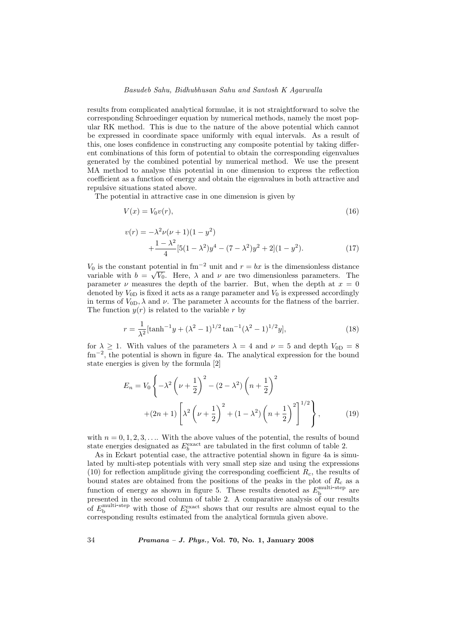#### Basudeb Sahu, Bidhubhusan Sahu and Santosh K Agarwalla

results from complicated analytical formulae, it is not straightforward to solve the corresponding Schroedinger equation by numerical methods, namely the most popular RK method. This is due to the nature of the above potential which cannot be expressed in coordinate space uniformly with equal intervals. As a result of this, one loses confidence in constructing any composite potential by taking different combinations of this form of potential to obtain the corresponding eigenvalues generated by the combined potential by numerical method. We use the present MA method to analyse this potential in one dimension to express the reflection coefficient as a function of energy and obtain the eigenvalues in both attractive and repulsive situations stated above.

The potential in attractive case in one dimension is given by

$$
V(x) = V_0 v(r),\tag{16}
$$

$$
v(r) = -\lambda^2 \nu(\nu + 1)(1 - y^2) + \frac{1 - \lambda^2}{4} [5(1 - \lambda^2)y^4 - (7 - \lambda^2)y^2 + 2](1 - y^2).
$$
 (17)

 $V_0$  is the constant potential in fm<sup>-2</sup> unit and  $r = bx$  is the dimensionless distance variable with  $b = \sqrt{V_0}$ . Here,  $\lambda$  and  $\nu$  are two dimensionless parameters. The parameter  $\nu$  measures the depth of the barrier. But, when the depth at  $x = 0$ denoted by  $V_{0D}$  is fixed it acts as a range parameter and  $V_0$  is expressed accordingly in terms of  $V_{0D}$ ,  $\lambda$  and  $\nu$ . The parameter  $\lambda$  accounts for the flatness of the barrier. The function  $y(r)$  is related to the variable r by

$$
r = \frac{1}{\lambda^2} [\tanh^{-1} y + (\lambda^2 - 1)^{1/2} \tan^{-1} (\lambda^2 - 1)^{1/2} y],
$$
 (18)

for  $\lambda \geq 1$ . With values of the parameters  $\lambda = 4$  and  $\nu = 5$  and depth  $V_{0D} = 8$ fm<sup>−</sup><sup>2</sup> , the potential is shown in figure 4a. The analytical expression for the bound state energies is given by the formula [2]

$$
E_n = V_0 \left\{ -\lambda^2 \left( \nu + \frac{1}{2} \right)^2 - (2 - \lambda^2) \left( n + \frac{1}{2} \right)^2 + (2n + 1) \left[ \lambda^2 \left( \nu + \frac{1}{2} \right)^2 + (1 - \lambda^2) \left( n + \frac{1}{2} \right)^2 \right]^{1/2} \right\},
$$
(19)

with  $n = 0, 1, 2, 3, \ldots$  With the above values of the potential, the results of bound state energies designated as  $E_b^{\text{exact}}$  are tabulated in the first column of table 2.

As in Eckart potential case, the attractive potential shown in figure 4a is simulated by multi-step potentials with very small step size and using the expressions (10) for reflection amplitude giving the corresponding coefficient  $R_c$ , the results of bound states are obtained from the positions of the peaks in the plot of  $R_c$  as a function of energy as shown in figure 5. These results denoted as  $E_{\rm b}^{\rm multi-step}$  are presented in the second column of table 2. A comparative analysis of our results of  $E_{\rm b}^{\rm multi-step}$  with those of  $E_{\rm b}^{\rm exact}$  shows that our results are almost equal to the corresponding results estimated from the analytical formula given above.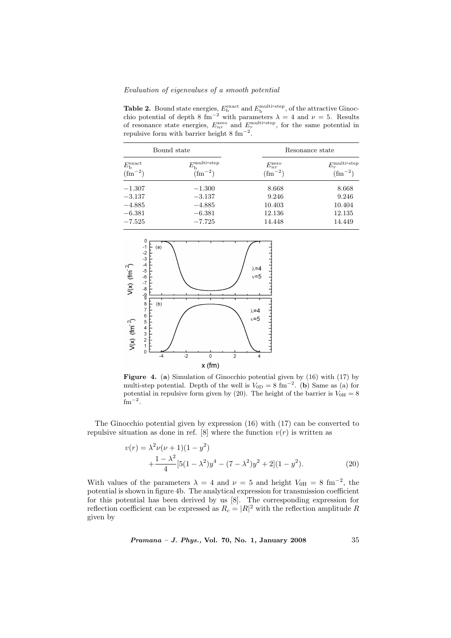**Table 2.** Bound state energies,  $E_b^{\text{exact}}$  and  $E_b^{\text{multi-step}}$ , of the attractive Ginocchio potential of depth 8 fm<sup>-2</sup> with parameters  $\lambda = 4$  and  $\nu = 5$ . Results of resonance state energies,  $E_{nr}^{\text{zero}}$  and  $E_r^{\text{multi-step}}$ , for the same potential in repulsive form with barrier height  $8 \text{ fm}^{-2}$ .

| Bound state                                |                                                    | Resonance state                           |                                              |
|--------------------------------------------|----------------------------------------------------|-------------------------------------------|----------------------------------------------|
| $E_{\rm b}^{\rm exact}$<br>$\rm (fm^{-2})$ | $E_{\rm b}^{\rm multi-step}$<br>$(\text{fm}^{-2})$ | $E_{nr}^{\text{zero}}$<br>$\rm (fm^{-2})$ | $E_r^{\text{multi-step}}$<br>$\rm (fm^{-2})$ |
| $-1.307$                                   | $-1.300$                                           | 8.668                                     | 8.668                                        |
| $-3.137$                                   | $-3.137$                                           | 9.246                                     | 9.246                                        |
| $-4.885$                                   | $-4.885$                                           | 10.403                                    | 10.404                                       |
| $-6.381$                                   | $-6.381$                                           | 12.136                                    | 12.135                                       |
| $-7.525$                                   | $-7.725$                                           | 14.448                                    | 14.449                                       |



Figure 4. (a) Simulation of Ginocchio potential given by (16) with (17) by multi-step potential. Depth of the well is  $V_{0D} = 8 \text{ fm}^{-2}$ . (b) Same as (a) for potential in repulsive form given by (20). The height of the barrier is  $V_{0H} = 8$  $\rm fm^{-2}$ .

The Ginocchio potential given by expression (16) with (17) can be converted to repulsive situation as done in ref. [8] where the function  $v(r)$  is written as

$$
v(r) = \lambda^2 \nu (\nu + 1)(1 - y^2)
$$
  
 
$$
+ \frac{1 - \lambda^2}{4} [5(1 - \lambda^2)y^4 - (7 - \lambda^2)y^2 + 2](1 - y^2).
$$
 (20)

With values of the parameters  $\lambda = 4$  and  $\nu = 5$  and height  $V_{0H} = 8$  fm<sup>-2</sup>, the potential is shown in figure 4b. The analytical expression for transmission coefficient for this potential has been derived by us [8]. The corresponding expression for reflection coefficient can be expressed as  $R_c = |R|^2$  with the reflection amplitude R given by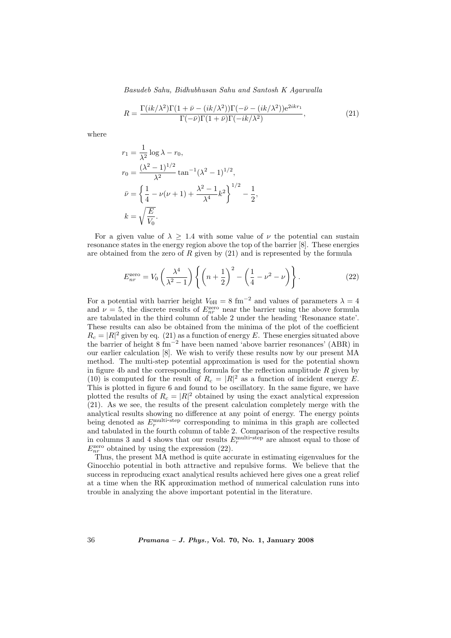Basudeb Sahu, Bidhubhusan Sahu and Santosh K Agarwalla

$$
R = \frac{\Gamma(ik/\lambda^2)\Gamma(1+\bar{\nu} - (ik/\lambda^2))\Gamma(-\bar{\nu} - (ik/\lambda^2))e^{2ikr_1}}{\Gamma(-\bar{\nu})\Gamma(1+\bar{\nu})\Gamma(-ik/\lambda^2)},
$$
\n(21)

where

$$
r_1 = \frac{1}{\lambda^2} \log \lambda - r_0,
$$
  
\n
$$
r_0 = \frac{(\lambda^2 - 1)^{1/2}}{\lambda^2} \tan^{-1} (\lambda^2 - 1)^{1/2},
$$
  
\n
$$
\bar{\nu} = \left\{ \frac{1}{4} - \nu(\nu + 1) + \frac{\lambda^2 - 1}{\lambda^4} k^2 \right\}^{1/2} - \frac{1}{2},
$$
  
\n
$$
k = \sqrt{\frac{E}{V_0}}.
$$

For a given value of  $\lambda \geq 1.4$  with some value of  $\nu$  the potential can sustain resonance states in the energy region above the top of the barrier [8]. These energies are obtained from the zero of  $R$  given by  $(21)$  and is represented by the formula

$$
E_{nr}^{\text{zero}} = V_0 \left(\frac{\lambda^4}{\lambda^2 - 1}\right) \left\{ \left(n + \frac{1}{2}\right)^2 - \left(\frac{1}{4} - \nu^2 - \nu\right) \right\}.
$$
 (22)

For a potential with barrier height  $V_{0H} = 8 \text{ fm}^{-2}$  and values of parameters  $\lambda = 4$ and  $\nu = 5$ , the discrete results of  $E_{nr}^{\text{zero}}$  near the barrier using the above formula are tabulated in the third column of table 2 under the heading 'Resonance state'. These results can also be obtained from the minima of the plot of the coefficient  $R_c = |R|^2$  given by eq. (21) as a function of energy E. These energies situated above the barrier of height 8 fm<sup>−</sup><sup>2</sup> have been named 'above barrier resonances' (ABR) in our earlier calculation [8]. We wish to verify these results now by our present MA method. The multi-step potential approximation is used for the potential shown in figure 4b and the corresponding formula for the reflection amplitude  $R$  given by (10) is computed for the result of  $R_c = |R|^2$  as a function of incident energy E. This is plotted in figure 6 and found to be oscillatory. In the same figure, we have plotted the results of  $R_c = |R|^2$  obtained by using the exact analytical expression (21). As we see, the results of the present calculation completely merge with the analytical results showing no difference at any point of energy. The energy points being denoted as  $E_r^{\text{multi-step}}$  corresponding to minima in this graph are collected and tabulated in the fourth column of table 2. Comparison of the respective results<br>in columns 3 and 4 shows that our results  $E_r^{\text{multi-step}}$  are almost equal to those of  $E_{nr}^{\text{zero}}$  obtained by using the expression (22).

Thus, the present MA method is quite accurate in estimating eigenvalues for the Ginocchio potential in both attractive and repulsive forms. We believe that the success in reproducing exact analytical results achieved here gives one a great relief at a time when the RK approximation method of numerical calculation runs into trouble in analyzing the above important potential in the literature.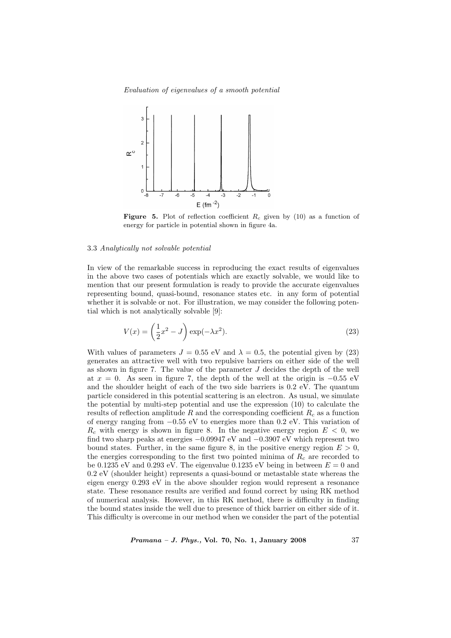

**Figure 5.** Plot of reflection coefficient  $R_c$  given by (10) as a function of energy for particle in potential shown in figure 4a.

# 3.3 Analytically not solvable potential

In view of the remarkable success in reproducing the exact results of eigenvalues in the above two cases of potentials which are exactly solvable, we would like to mention that our present formulation is ready to provide the accurate eigenvalues representing bound, quasi-bound, resonance states etc. in any form of potential whether it is solvable or not. For illustration, we may consider the following potential which is not analytically solvable [9]:

$$
V(x) = \left(\frac{1}{2}x^2 - J\right) \exp(-\lambda x^2). \tag{23}
$$

With values of parameters  $J = 0.55$  eV and  $\lambda = 0.5$ , the potential given by (23) generates an attractive well with two repulsive barriers on either side of the well as shown in figure 7. The value of the parameter  $J$  decides the depth of the well at  $x = 0$ . As seen in figure 7, the depth of the well at the origin is  $-0.55$  eV and the shoulder height of each of the two side barriers is  $0.2 \text{ eV}$ . The quantum particle considered in this potential scattering is an electron. As usual, we simulate the potential by multi-step potential and use the expression (10) to calculate the results of reflection amplitude  $R$  and the corresponding coefficient  $R_c$  as a function of energy ranging from −0.55 eV to energies more than 0.2 eV. This variation of  $R_c$  with energy is shown in figure 8. In the negative energy region  $E < 0$ , we find two sharp peaks at energies −0.09947 eV and −0.3907 eV which represent two bound states. Further, in the same figure 8, in the positive energy region  $E > 0$ , the energies corresponding to the first two pointed minima of  $R_c$  are recorded to be 0.1235 eV and 0.293 eV. The eigenvalue 0.1235 eV being in between  $E = 0$  and 0.2 eV (shoulder height) represents a quasi-bound or metastable state whereas the eigen energy 0.293 eV in the above shoulder region would represent a resonance state. These resonance results are verified and found correct by using RK method of numerical analysis. However, in this RK method, there is difficulty in finding the bound states inside the well due to presence of thick barrier on either side of it. This difficulty is overcome in our method when we consider the part of the potential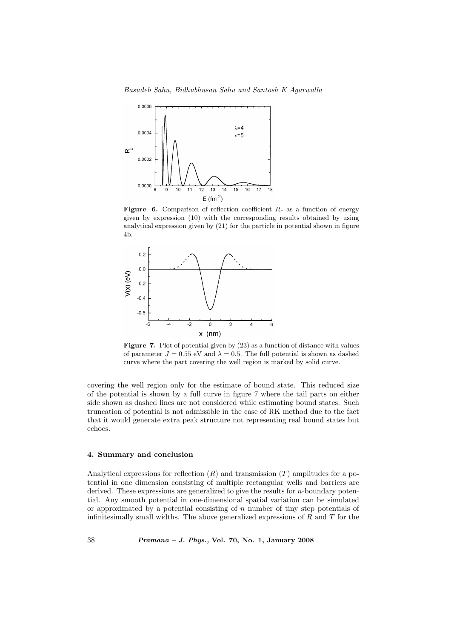Basudeb Sahu, Bidhubhusan Sahu and Santosh K Agarwalla



**Figure 6.** Comparison of reflection coefficient  $R_c$  as a function of energy given by expression (10) with the corresponding results obtained by using analytical expression given by (21) for the particle in potential shown in figure 4b.



Figure 7. Plot of potential given by  $(23)$  as a function of distance with values of parameter  $J = 0.55$  eV and  $\lambda = 0.5$ . The full potential is shown as dashed curve where the part covering the well region is marked by solid curve.

covering the well region only for the estimate of bound state. This reduced size of the potential is shown by a full curve in figure 7 where the tail parts on either side shown as dashed lines are not considered while estimating bound states. Such truncation of potential is not admissible in the case of RK method due to the fact that it would generate extra peak structure not representing real bound states but echoes.

#### 4. Summary and conclusion

Analytical expressions for reflection  $(R)$  and transmission  $(T)$  amplitudes for a potential in one dimension consisting of multiple rectangular wells and barriers are derived. These expressions are generalized to give the results for n-boundary potential. Any smooth potential in one-dimensional spatial variation can be simulated or approximated by a potential consisting of  $n$  number of tiny step potentials of infinitesimally small widths. The above generalized expressions of  $R$  and  $T$  for the